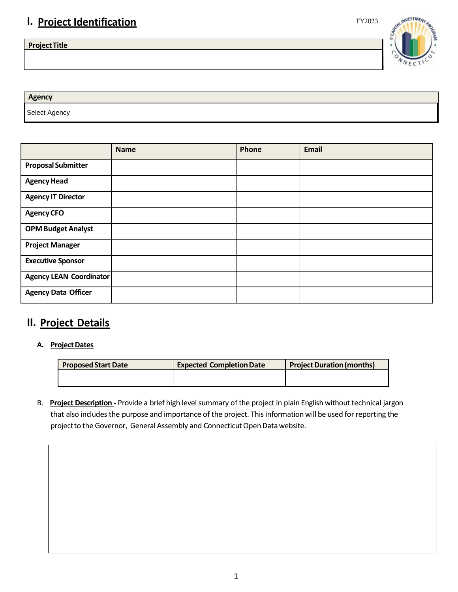# **I. Project Identification** FY2023

**ProjectTitle**



Select Agency **Agency**

|                                | <b>Name</b> | Phone | <b>Email</b> |
|--------------------------------|-------------|-------|--------------|
| <b>Proposal Submitter</b>      |             |       |              |
| <b>Agency Head</b>             |             |       |              |
| <b>Agency IT Director</b>      |             |       |              |
| <b>Agency CFO</b>              |             |       |              |
| <b>OPM Budget Analyst</b>      |             |       |              |
| <b>Project Manager</b>         |             |       |              |
| <b>Executive Sponsor</b>       |             |       |              |
| <b>Agency LEAN Coordinator</b> |             |       |              |
| <b>Agency Data Officer</b>     |             |       |              |

# **II. Project Details**

**A. ProjectDates**

| <b>Proposed Start Date</b> | <b>Expected Completion Date</b> | <b>Project Duration (months)</b> |  |
|----------------------------|---------------------------------|----------------------------------|--|
|                            |                                 |                                  |  |

B. Project Description - Provide a brief high level summary of the project in plain English without technical jargon that also includes the purpose and importance of the project. This information will be used for reporting the project to the Governor, General Assembly and Connecticut Open Data website.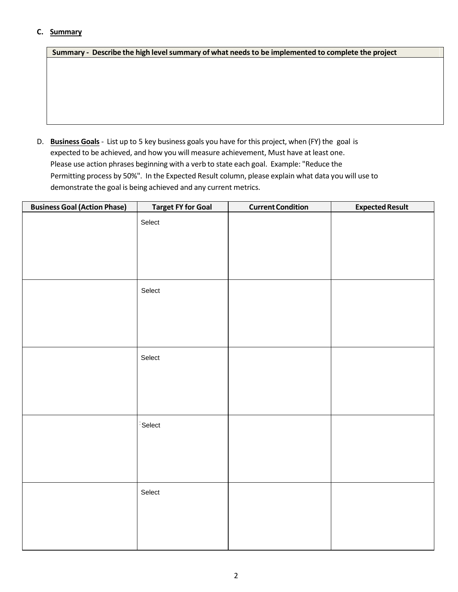### **C. Summary**

**Summary - Describe the high levelsummary of what needs to be implemented to complete the project**

D. **Business Goals** - List up to 5 key business goals you have for this project, when (FY) the goal is expected to be achieved, and how you will measure achievement, Must have at least one. Please use action phrases beginning with a verb to state each goal. Example: "Reduce the Permitting process by 50%". In the Expected Result column, please explain what data you will use to demonstrate the goal is being achieved and any current metrics.

| <b>Business Goal (Action Phase)</b> | <b>Target FY for Goal</b> | <b>Current Condition</b> | <b>Expected Result</b> |
|-------------------------------------|---------------------------|--------------------------|------------------------|
|                                     | Select                    |                          |                        |
|                                     |                           |                          |                        |
|                                     |                           |                          |                        |
|                                     |                           |                          |                        |
|                                     | Select                    |                          |                        |
|                                     |                           |                          |                        |
|                                     |                           |                          |                        |
|                                     |                           |                          |                        |
|                                     | Select                    |                          |                        |
|                                     |                           |                          |                        |
|                                     |                           |                          |                        |
|                                     |                           |                          |                        |
|                                     | Select                    |                          |                        |
|                                     |                           |                          |                        |
|                                     |                           |                          |                        |
|                                     |                           |                          |                        |
|                                     | Select                    |                          |                        |
|                                     |                           |                          |                        |
|                                     |                           |                          |                        |
|                                     |                           |                          |                        |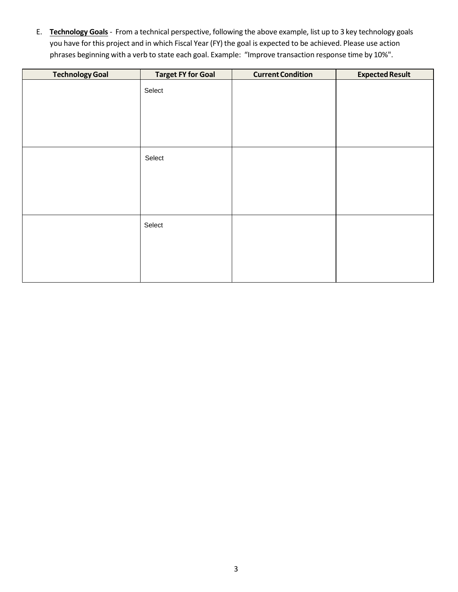E. **Technology Goals** - From a technical perspective, following the above example, list up to 3 key technology goals you have for this project and in which Fiscal Year (FY) the goal is expected to be achieved. Please use action phrases beginning with a verb to state each goal. Example: "Improve transaction response time by 10%".

| <b>Technology Goal</b> | <b>Target FY for Goal</b> | <b>Current Condition</b> | <b>Expected Result</b> |
|------------------------|---------------------------|--------------------------|------------------------|
|                        | Select                    |                          |                        |
|                        |                           |                          |                        |
|                        |                           |                          |                        |
|                        |                           |                          |                        |
|                        |                           |                          |                        |
|                        | Select                    |                          |                        |
|                        |                           |                          |                        |
|                        |                           |                          |                        |
|                        |                           |                          |                        |
|                        |                           |                          |                        |
|                        | Select                    |                          |                        |
|                        |                           |                          |                        |
|                        |                           |                          |                        |
|                        |                           |                          |                        |
|                        |                           |                          |                        |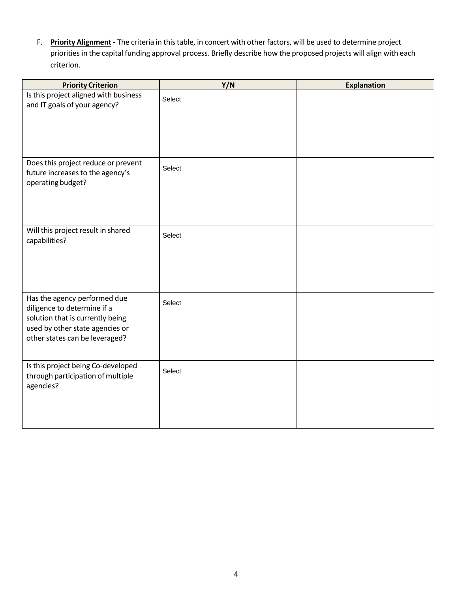F. **Priority Alignment -** The criteria in thistable, in concert with other factors, will be used to determine project priorities in the capital funding approval process. Briefly describe how the proposed projects will align with each criterion.

| <b>Priority Criterion</b>                                                                                                                                            | Y/N    | <b>Explanation</b> |
|----------------------------------------------------------------------------------------------------------------------------------------------------------------------|--------|--------------------|
| Is this project aligned with business<br>and IT goals of your agency?                                                                                                | Select |                    |
| Does this project reduce or prevent<br>future increases to the agency's<br>operating budget?                                                                         | Select |                    |
| Will this project result in shared<br>capabilities?                                                                                                                  | Select |                    |
| Has the agency performed due<br>diligence to determine if a<br>solution that is currently being<br>used by other state agencies or<br>other states can be leveraged? | Select |                    |
| Is this project being Co-developed<br>through participation of multiple<br>agencies?                                                                                 | Select |                    |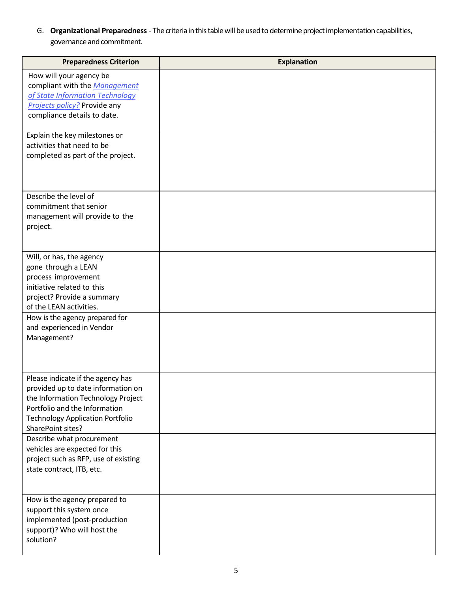G. **Organizational Preparedness** - The criteria in this table will be used to determine project implementation capabilities, governance and commitment.

| <b>Preparedness Criterion</b>                                                                                                                                                                                  | <b>Explanation</b> |
|----------------------------------------------------------------------------------------------------------------------------------------------------------------------------------------------------------------|--------------------|
| How will your agency be<br>compliant with the Management<br>of State Information Technology<br>Projects policy? Provide any<br>compliance details to date.                                                     |                    |
| Explain the key milestones or<br>activities that need to be<br>completed as part of the project.                                                                                                               |                    |
| Describe the level of<br>commitment that senior<br>management will provide to the<br>project.                                                                                                                  |                    |
| Will, or has, the agency<br>gone through a LEAN<br>process improvement<br>initiative related to this<br>project? Provide a summary<br>of the LEAN activities.                                                  |                    |
| How is the agency prepared for<br>and experienced in Vendor<br>Management?                                                                                                                                     |                    |
| Please indicate if the agency has<br>provided up to date information on<br>the Information Technology Project<br>Portfolio and the Information<br><b>Technology Application Portfolio</b><br>SharePoint sites? |                    |
| Describe what procurement<br>vehicles are expected for this<br>project such as RFP, use of existing<br>state contract, ITB, etc.                                                                               |                    |
| How is the agency prepared to<br>support this system once<br>implemented (post-production<br>support)? Who will host the<br>solution?                                                                          |                    |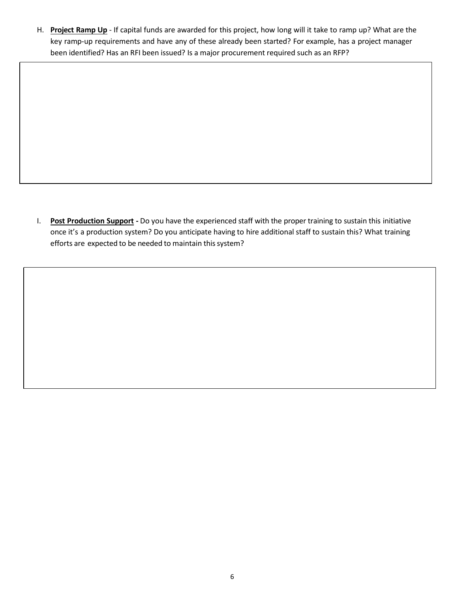H. **Project Ramp Up** - If capital funds are awarded for this project, how long will it take to ramp up? What are the key ramp-up requirements and have any of these already been started? For example, has a project manager been identified? Has an RFI been issued? Is a major procurement required such as an RFP?

I. **Post Production Support -** Do you have the experienced staff with the proper training to sustain this initiative once it's a production system? Do you anticipate having to hire additional staff to sustain this? What training efforts are expected to be needed to maintain this system?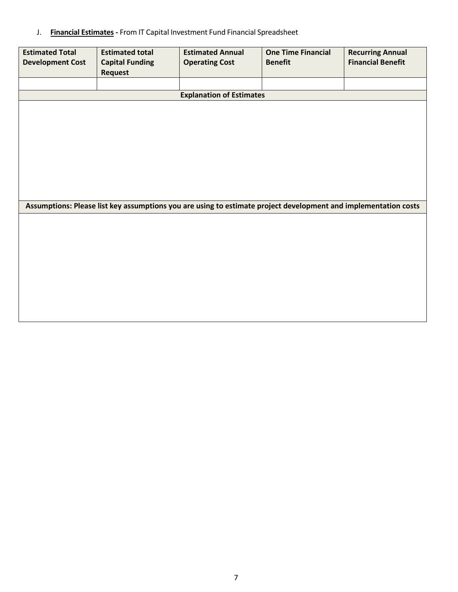J. **Financial Estimates -** From IT Capital Investment Fund Financial Spreadsheet

| <b>Estimated Total</b><br><b>Development Cost</b> | <b>Estimated total</b><br><b>Capital Funding</b><br><b>Request</b>                                              | <b>Estimated Annual</b><br><b>Operating Cost</b> | <b>One Time Financial</b><br><b>Benefit</b> | <b>Recurring Annual</b><br><b>Financial Benefit</b> |
|---------------------------------------------------|-----------------------------------------------------------------------------------------------------------------|--------------------------------------------------|---------------------------------------------|-----------------------------------------------------|
|                                                   |                                                                                                                 |                                                  |                                             |                                                     |
|                                                   |                                                                                                                 | <b>Explanation of Estimates</b>                  |                                             |                                                     |
|                                                   |                                                                                                                 |                                                  |                                             |                                                     |
|                                                   |                                                                                                                 |                                                  |                                             |                                                     |
|                                                   |                                                                                                                 |                                                  |                                             |                                                     |
|                                                   |                                                                                                                 |                                                  |                                             |                                                     |
|                                                   |                                                                                                                 |                                                  |                                             |                                                     |
|                                                   |                                                                                                                 |                                                  |                                             |                                                     |
|                                                   |                                                                                                                 |                                                  |                                             |                                                     |
|                                                   |                                                                                                                 |                                                  |                                             |                                                     |
|                                                   | Assumptions: Please list key assumptions you are using to estimate project development and implementation costs |                                                  |                                             |                                                     |
|                                                   |                                                                                                                 |                                                  |                                             |                                                     |
|                                                   |                                                                                                                 |                                                  |                                             |                                                     |
|                                                   |                                                                                                                 |                                                  |                                             |                                                     |
|                                                   |                                                                                                                 |                                                  |                                             |                                                     |
|                                                   |                                                                                                                 |                                                  |                                             |                                                     |
|                                                   |                                                                                                                 |                                                  |                                             |                                                     |
|                                                   |                                                                                                                 |                                                  |                                             |                                                     |
|                                                   |                                                                                                                 |                                                  |                                             |                                                     |
|                                                   |                                                                                                                 |                                                  |                                             |                                                     |